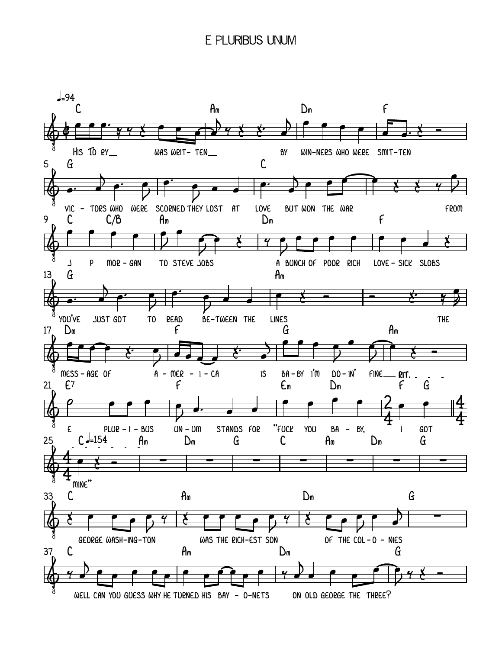